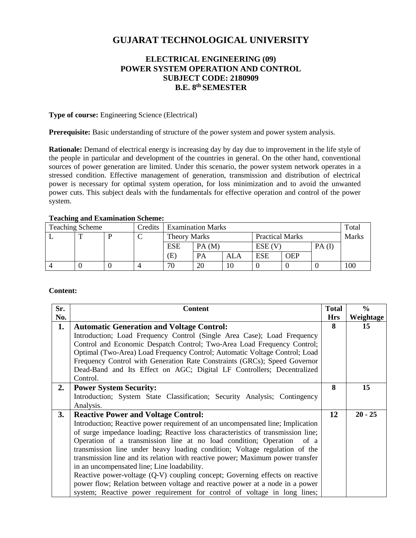# **GUJARAT TECHNOLOGICAL UNIVERSITY**

# **ELECTRICAL ENGINEERING (09) POWER SYSTEM OPERATION AND CONTROL SUBJECT CODE: 2180909 B.E. 8 th SEMESTER**

#### **Type of course:** Engineering Science (Electrical)

**Prerequisite:** Basic understanding of structure of the power system and power system analysis.

**Rationale:** Demand of electrical energy is increasing day by day due to improvement in the life style of the people in particular and development of the countries in general. On the other hand, conventional sources of power generation are limited. Under this scenario, the power system network operates in a stressed condition. Effective management of generation, transmission and distribution of electrical power is necessary for optimal system operation, for loss minimization and to avoid the unwanted power cuts. This subject deals with the fundamentals for effective operation and control of the power system.

| r caching and maailmaacion beneme; |  |  |         |                          |       |     |                        |            |          |              |
|------------------------------------|--|--|---------|--------------------------|-------|-----|------------------------|------------|----------|--------------|
| <b>Teaching Scheme</b>             |  |  | Credits | <b>Examination Marks</b> |       |     |                        |            |          | Total        |
|                                    |  |  |         | <b>Theory Marks</b>      |       |     | <b>Practical Marks</b> |            |          | <b>Marks</b> |
|                                    |  |  |         | <b>ESE</b>               | PA(M) |     | $ESE$ (V)              |            | $PA$ (I) |              |
|                                    |  |  |         | (E)                      | PA    | ALA | <b>ESE</b>             | <b>OEP</b> |          |              |
|                                    |  |  |         | 70                       | 20    | 10  |                        |            |          | 100          |

# **Teaching and Examination Scheme:**

### **Content:**

| Sr.       | <b>Content</b>                                                                  | <b>Total</b> | $\frac{6}{6}$ |
|-----------|---------------------------------------------------------------------------------|--------------|---------------|
| No.       |                                                                                 | <b>Hrs</b>   | Weightage     |
| 1.        | <b>Automatic Generation and Voltage Control:</b>                                | 8            | 15            |
|           | Introduction; Load Frequency Control (Single Area Case); Load Frequency         |              |               |
|           | Control and Economic Despatch Control; Two-Area Load Frequency Control;         |              |               |
|           | Optimal (Two-Area) Load Frequency Control; Automatic Voltage Control; Load      |              |               |
|           | Frequency Control with Generation Rate Constraints (GRCs); Speed Governor       |              |               |
|           | Dead-Band and Its Effect on AGC; Digital LF Controllers; Decentralized          |              |               |
|           | Control.                                                                        |              |               |
| 2.        | <b>Power System Security:</b>                                                   | 8            | 15            |
|           | Introduction; System State Classification; Security Analysis; Contingency       |              |               |
|           | Analysis.                                                                       |              |               |
| <b>3.</b> | <b>Reactive Power and Voltage Control:</b>                                      | 12           | $20 - 25$     |
|           | Introduction; Reactive power requirement of an uncompensated line; Implication  |              |               |
|           | of surge impedance loading; Reactive loss characteristics of transmission line; |              |               |
|           | Operation of a transmission line at no load condition; Operation<br>of a        |              |               |
|           | transmission line under heavy loading condition; Voltage regulation of the      |              |               |
|           | transmission line and its relation with reactive power; Maximum power transfer  |              |               |
|           | in an uncompensated line; Line loadability.                                     |              |               |
|           | Reactive power-voltage (Q-V) coupling concept; Governing effects on reactive    |              |               |
|           | power flow; Relation between voltage and reactive power at a node in a power    |              |               |
|           | system; Reactive power requirement for control of voltage in long lines;        |              |               |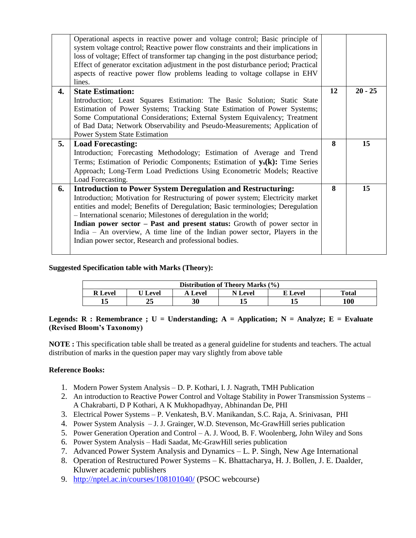|    | Operational aspects in reactive power and voltage control; Basic principle of<br>system voltage control; Reactive power flow constraints and their implications in<br>loss of voltage; Effect of transformer tap changing in the post disturbance period;<br>Effect of generator excitation adjustment in the post disturbance period; Practical<br>aspects of reactive power flow problems leading to voltage collapse in EHV<br>lines. |    |           |
|----|------------------------------------------------------------------------------------------------------------------------------------------------------------------------------------------------------------------------------------------------------------------------------------------------------------------------------------------------------------------------------------------------------------------------------------------|----|-----------|
| 4. | <b>State Estimation:</b><br>Introduction; Least Squares Estimation: The Basic Solution; Static State                                                                                                                                                                                                                                                                                                                                     | 12 | $20 - 25$ |
|    | Estimation of Power Systems; Tracking State Estimation of Power Systems;                                                                                                                                                                                                                                                                                                                                                                 |    |           |
|    | Some Computational Considerations; External System Equivalency; Treatment<br>of Bad Data; Network Observability and Pseudo-Measurements; Application of                                                                                                                                                                                                                                                                                  |    |           |
|    | Power System State Estimation                                                                                                                                                                                                                                                                                                                                                                                                            |    |           |
| 5. | <b>Load Forecasting:</b>                                                                                                                                                                                                                                                                                                                                                                                                                 | 8  | 15        |
|    | Introduction; Forecasting Methodology; Estimation of Average and Trend                                                                                                                                                                                                                                                                                                                                                                   |    |           |
|    | Terms; Estimation of Periodic Components; Estimation of y <sub>s</sub> (k): Time Series                                                                                                                                                                                                                                                                                                                                                  |    |           |
|    | Approach; Long-Term Load Predictions Using Econometric Models; Reactive                                                                                                                                                                                                                                                                                                                                                                  |    |           |
|    | Load Forecasting.                                                                                                                                                                                                                                                                                                                                                                                                                        | 8  |           |
| 6. | <b>Introduction to Power System Deregulation and Restructuring:</b><br>Introduction; Motivation for Restructuring of power system; Electricity market                                                                                                                                                                                                                                                                                    |    | 15        |
|    | entities and model; Benefits of Deregulation; Basic terminologies; Deregulation                                                                                                                                                                                                                                                                                                                                                          |    |           |
|    | - International scenario; Milestones of deregulation in the world;                                                                                                                                                                                                                                                                                                                                                                       |    |           |
|    | Indian power sector – Past and present status: Growth of power sector in                                                                                                                                                                                                                                                                                                                                                                 |    |           |
|    | India – An overview, A time line of the Indian power sector, Players in the                                                                                                                                                                                                                                                                                                                                                              |    |           |
|    | Indian power sector, Research and professional bodies.                                                                                                                                                                                                                                                                                                                                                                                   |    |           |
|    |                                                                                                                                                                                                                                                                                                                                                                                                                                          |    |           |

## **Suggested Specification table with Marks (Theory):**

| Distribution of Theory Marks (%) |              |         |         |         |       |  |  |
|----------------------------------|--------------|---------|---------|---------|-------|--|--|
| <b>R</b> Level                   | <b>Level</b> | A Level | N Level | E Level | Total |  |  |
| 15                               |              | 30      |         |         | 100   |  |  |

### **Legends: R : Remembrance ; U = Understanding; A = Application; N = Analyze; E = Evaluate (Revised Bloom's Taxonomy)**

**NOTE :** This specification table shall be treated as a general guideline for students and teachers. The actual distribution of marks in the question paper may vary slightly from above table

### **Reference Books:**

- 1. Modern Power System Analysis D. P. Kothari, I. J. Nagrath, TMH Publication
- 2. An introduction to Reactive Power Control and Voltage Stability in Power Transmission Systems A Chakrabarti, D P Kothari, A K Mukhopadhyay, Abhinandan De, PHI
- 3. Electrical Power Systems P. Venkatesh, B.V. Manikandan, S.C. Raja, A. Srinivasan, PHI
- 4. Power System Analysis J. J. Grainger, W.D. Stevenson, Mc-GrawHill series publication
- 5. Power Generation Operation and Control A. J. Wood, B. F. Woolenberg, John Wiley and Sons
- 6. Power System Analysis Hadi Saadat, Mc-GrawHill series publication
- 7. Advanced Power System Analysis and Dynamics L. P. Singh, New Age International
- 8. Operation of Restructured Power Systems K. Bhattacharya, H. J. Bollen, J. E. Daalder, Kluwer academic publishers
- 9. <http://nptel.ac.in/courses/108101040/> (PSOC webcourse)